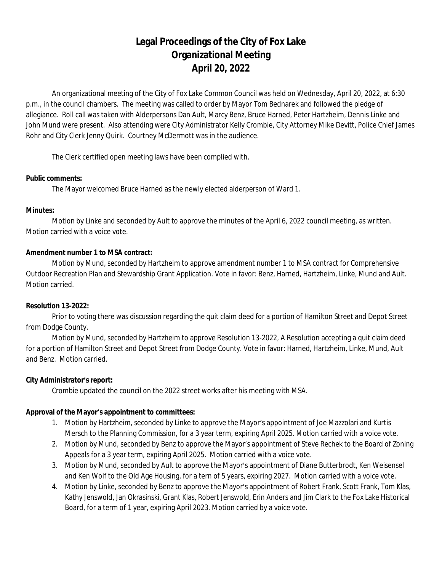# **Legal Proceedings of the City of Fox Lake Organizational Meeting April 20, 2022**

An organizational meeting of the City of Fox Lake Common Council was held on Wednesday, April 20, 2022, at 6:30 p.m., in the council chambers. The meeting was called to order by Mayor Tom Bednarek and followed the pledge of allegiance. Roll call was taken with Alderpersons Dan Ault, Marcy Benz, Bruce Harned, Peter Hartzheim, Dennis Linke and John Mund were present. Also attending were City Administrator Kelly Crombie, City Attorney Mike Devitt, Police Chief James Rohr and City Clerk Jenny Quirk. Courtney McDermott was in the audience.

The Clerk certified open meeting laws have been complied with.

## **Public comments:**

The Mayor welcomed Bruce Harned as the newly elected alderperson of Ward 1.

#### **Minutes:**

Motion by Linke and seconded by Ault to approve the minutes of the April 6, 2022 council meeting, as written. Motion carried with a voice vote.

## **Amendment number 1 to MSA contract:**

Motion by Mund, seconded by Hartzheim to approve amendment number 1 to MSA contract for Comprehensive Outdoor Recreation Plan and Stewardship Grant Application. Vote in favor: Benz, Harned, Hartzheim, Linke, Mund and Ault. Motion carried.

## **Resolution 13-2022:**

Prior to voting there was discussion regarding the quit claim deed for a portion of Hamilton Street and Depot Street from Dodge County.

Motion by Mund, seconded by Hartzheim to approve Resolution 13-2022, A Resolution accepting a quit claim deed for a portion of Hamilton Street and Depot Street from Dodge County. Vote in favor: Harned, Hartzheim, Linke, Mund, Ault and Benz. Motion carried.

## **City Administrator's report:**

Crombie updated the council on the 2022 street works after his meeting with MSA.

## **Approval of the Mayor's appointment to committees:**

- 1. Motion by Hartzheim, seconded by Linke to approve the Mayor's appointment of Joe Mazzolari and Kurtis Mersch to the Planning Commission, for a 3 year term, expiring April 2025. Motion carried with a voice vote.
- 2. Motion by Mund, seconded by Benz to approve the Mayor's appointment of Steve Rechek to the Board of Zoning Appeals for a 3 year term, expiring April 2025. Motion carried with a voice vote.
- 3. Motion by Mund, seconded by Ault to approve the Mayor's appointment of Diane Butterbrodt, Ken Weisensel and Ken Wolf to the Old Age Housing, for a tern of 5 years, expiring 2027. Motion carried with a voice vote.
- 4. Motion by Linke, seconded by Benz to approve the Mayor's appointment of Robert Frank, Scott Frank, Tom Klas, Kathy Jenswold, Jan Okrasinski, Grant Klas, Robert Jenswold, Erin Anders and Jim Clark to the Fox Lake Historical Board, for a term of 1 year, expiring April 2023. Motion carried by a voice vote.